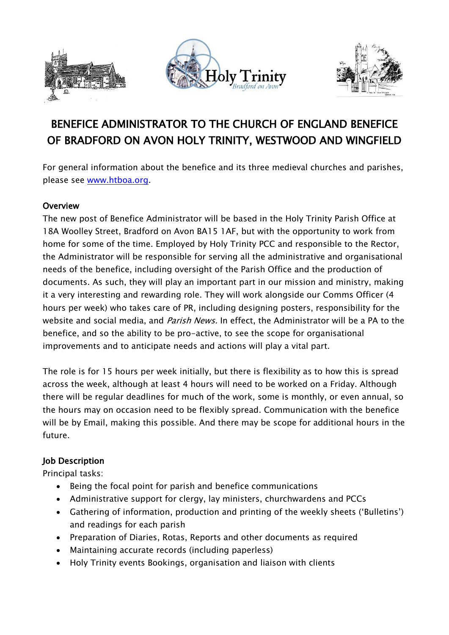





# BENEFICE ADMINISTRATOR TO THE CHURCH OF ENGLAND BENEFICE OF BRADFORD ON AVON HOLY TRINITY, WESTWOOD AND WINGFIELD

For general information about the benefice and its three medieval churches and parishes, please see [www.htboa.org.](http://www.htboa.org/)

#### **Overview**

The new post of Benefice Administrator will be based in the Holy Trinity Parish Office at 18A Woolley Street, Bradford on Avon BA15 1AF, but with the opportunity to work from home for some of the time. Employed by Holy Trinity PCC and responsible to the Rector, the Administrator will be responsible for serving all the administrative and organisational needs of the benefice, including oversight of the Parish Office and the production of documents. As such, they will play an important part in our mission and ministry, making it a very interesting and rewarding role. They will work alongside our Comms Officer (4 hours per week) who takes care of PR, including designing posters, responsibility for the website and social media, and *Parish News.* In effect, the Administrator will be a PA to the benefice, and so the ability to be pro-active, to see the scope for organisational improvements and to anticipate needs and actions will play a vital part.

The role is for 15 hours per week initially, but there is flexibility as to how this is spread across the week, although at least 4 hours will need to be worked on a Friday. Although there will be regular deadlines for much of the work, some is monthly, or even annual, so the hours may on occasion need to be flexibly spread. Communication with the benefice will be by Email, making this possible. And there may be scope for additional hours in the future.

#### Job Description

Principal tasks:

- Being the focal point for parish and benefice communications
- Administrative support for clergy, lay ministers, churchwardens and PCCs
- Gathering of information, production and printing of the weekly sheets ('Bulletins') and readings for each parish
- Preparation of Diaries, Rotas, Reports and other documents as required
- Maintaining accurate records (including paperless)
- Holy Trinity events Bookings, organisation and liaison with clients